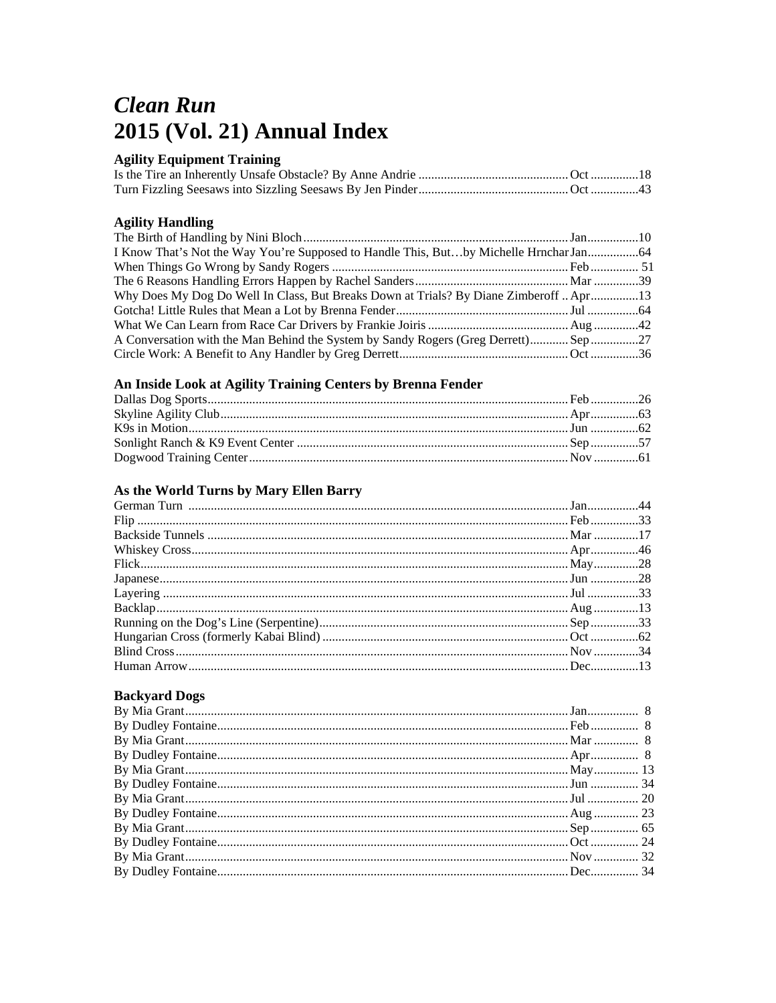# **Clean Run** 2015 (Vol. 21) Annual Index

# **Agility Equipment Training**

# **Agility Handling**

| I Know That's Not the Way You're Supposed to Handle This, Butby Michelle Hrnchar Jan 64 |  |
|-----------------------------------------------------------------------------------------|--|
|                                                                                         |  |
|                                                                                         |  |
| Why Does My Dog Do Well In Class, But Breaks Down at Trials? By Diane Zimberoff  Apr13  |  |
|                                                                                         |  |
|                                                                                         |  |
| A Conversation with the Man Behind the System by Sandy Rogers (Greg Derrett)Sep27       |  |
|                                                                                         |  |

# An Inside Look at Agility Training Centers by Brenna Fender

# As the World Turns by Mary Ellen Barry

#### **Backyard Dogs**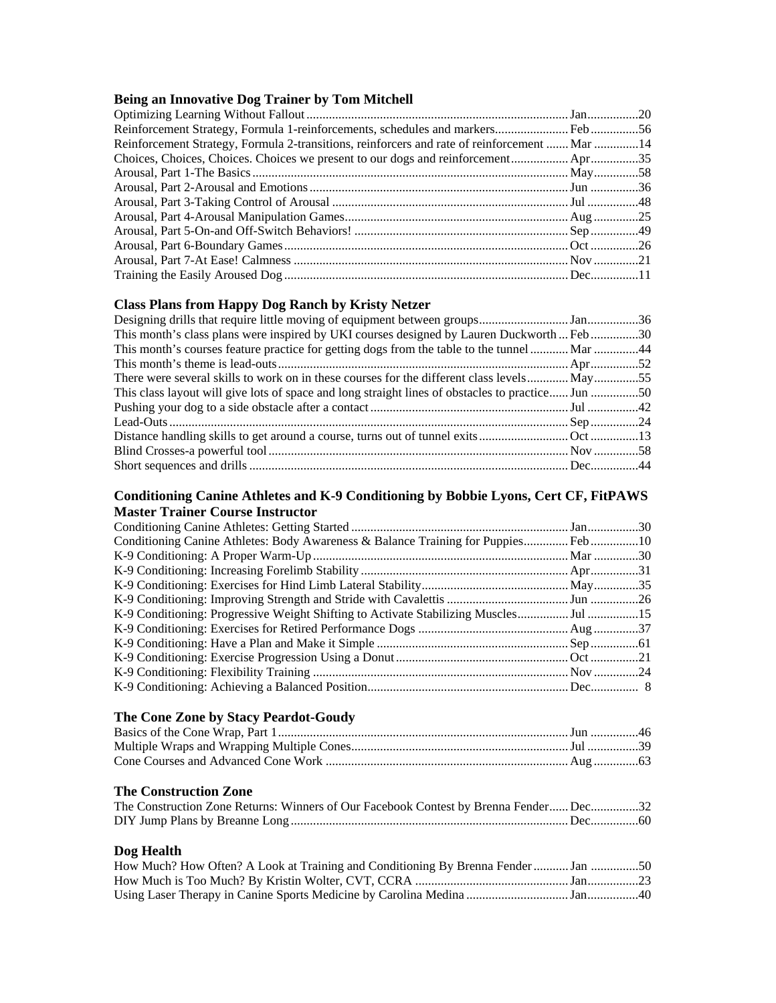#### **Being an Innovative Dog Trainer by Tom Mitchell**

| Reinforcement Strategy, Formula 2-transitions, reinforcers and rate of reinforcement  Mar 14 |  |
|----------------------------------------------------------------------------------------------|--|
|                                                                                              |  |
|                                                                                              |  |
|                                                                                              |  |
|                                                                                              |  |
|                                                                                              |  |
|                                                                                              |  |
|                                                                                              |  |
|                                                                                              |  |
|                                                                                              |  |

#### **Class Plans from Happy Dog Ranch by Kristy Netzer**

| This month's class plans were inspired by UKI courses designed by Lauren Duckworth  Feb30         |  |
|---------------------------------------------------------------------------------------------------|--|
| This month's courses feature practice for getting dogs from the table to the tunnel  Mar 44       |  |
|                                                                                                   |  |
| There were several skills to work on in these courses for the different class levels May55        |  |
| This class layout will give lots of space and long straight lines of obstacles to practice Jun 50 |  |
|                                                                                                   |  |
|                                                                                                   |  |
|                                                                                                   |  |
|                                                                                                   |  |
|                                                                                                   |  |
|                                                                                                   |  |

#### **Conditioning Canine Athletes and K-9 Conditioning by Bobbie Lyons, Cert CF, FitPAWS Master Trainer Course Instructor**

| Conditioning Canine Athletes: Body Awareness & Balance Training for Puppies Feb10 |  |
|-----------------------------------------------------------------------------------|--|
|                                                                                   |  |
|                                                                                   |  |
|                                                                                   |  |
|                                                                                   |  |
|                                                                                   |  |
|                                                                                   |  |
|                                                                                   |  |
|                                                                                   |  |
|                                                                                   |  |
|                                                                                   |  |

#### **The Cone Zone by Stacy Peardot-Goudy**

#### **The Construction Zone**

| The Construction Zone Returns: Winners of Our Facebook Contest by Brenna Fender Dec32 |  |
|---------------------------------------------------------------------------------------|--|
|                                                                                       |  |

#### **Dog Health**

| How Much? How Often? A Look at Training and Conditioning By Brenna Fender  Jan 50 |  |
|-----------------------------------------------------------------------------------|--|
|                                                                                   |  |
|                                                                                   |  |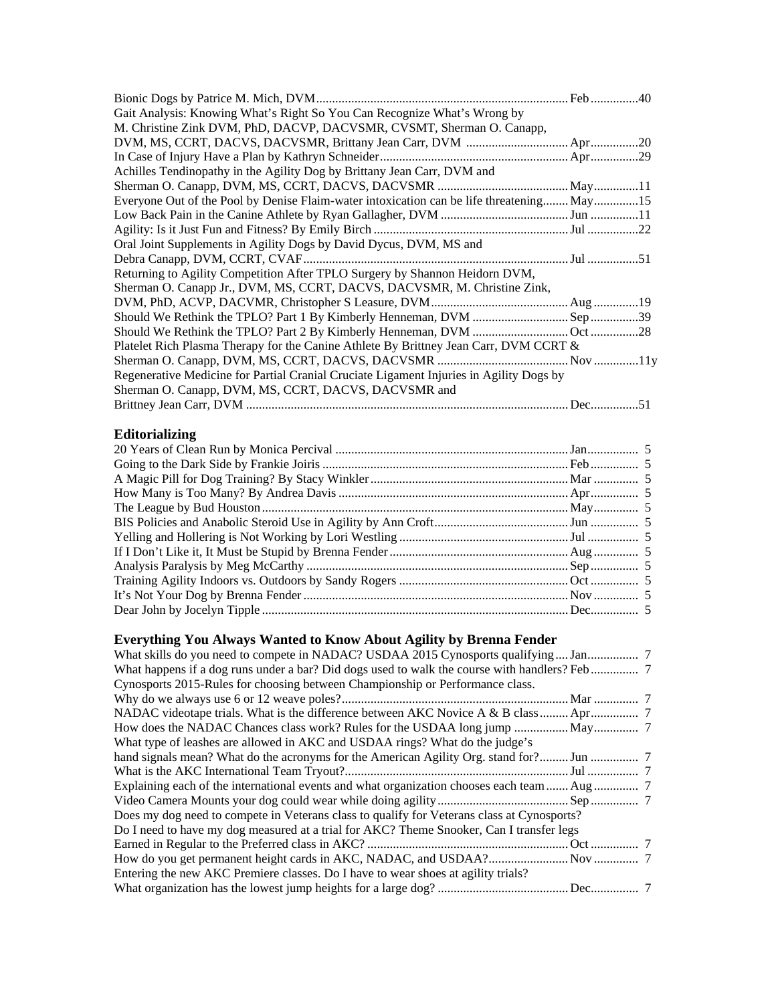| Gait Analysis: Knowing What's Right So You Can Recognize What's Wrong by                  |  |
|-------------------------------------------------------------------------------------------|--|
| M. Christine Zink DVM, PhD, DACVP, DACVSMR, CVSMT, Sherman O. Canapp,                     |  |
|                                                                                           |  |
|                                                                                           |  |
| Achilles Tendinopathy in the Agility Dog by Brittany Jean Carr, DVM and                   |  |
|                                                                                           |  |
| Everyone Out of the Pool by Denise Flaim-water intoxication can be life threatening May15 |  |
|                                                                                           |  |
|                                                                                           |  |
| Oral Joint Supplements in Agility Dogs by David Dycus, DVM, MS and                        |  |
|                                                                                           |  |
| Returning to Agility Competition After TPLO Surgery by Shannon Heidorn DVM,               |  |
| Sherman O. Canapp Jr., DVM, MS, CCRT, DACVS, DACVSMR, M. Christine Zink,                  |  |
|                                                                                           |  |
|                                                                                           |  |
|                                                                                           |  |
| Platelet Rich Plasma Therapy for the Canine Athlete By Brittney Jean Carr, DVM CCRT &     |  |
|                                                                                           |  |
| Regenerative Medicine for Partial Cranial Cruciate Ligament Injuries in Agility Dogs by   |  |
| Sherman O. Canapp, DVM, MS, CCRT, DACVS, DACVSMR and                                      |  |
|                                                                                           |  |

# **Editorializing**

# **Everything You Always Wanted to Know About Agility by Brenna Fender**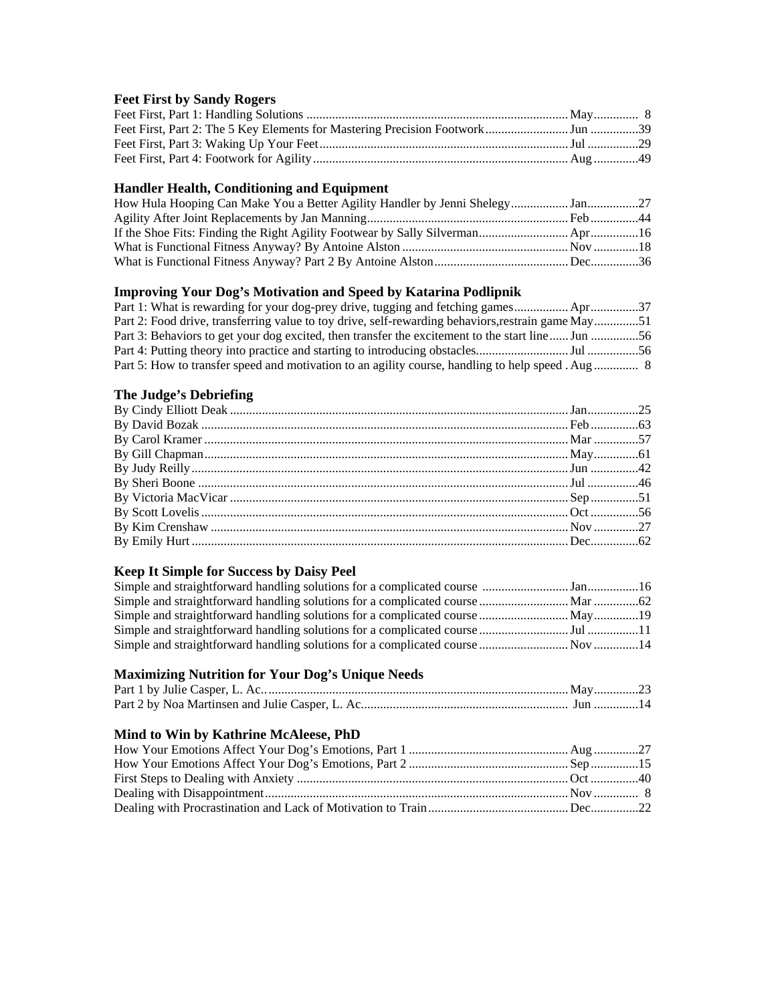# **Feet First by Sandy Rogers**

#### **Handler Health, Conditioning and Equipment**

#### **Improving Your Dog's Motivation and Speed by Katarina Podlipnik**

| Part 1: What is rewarding for your dog-prey drive, tugging and fetching games37                    |  |
|----------------------------------------------------------------------------------------------------|--|
| Part 2: Food drive, transferring value to toy drive, self-rewarding behaviors, restrain game May51 |  |
| Part 3: Behaviors to get your dog excited, then transfer the excitement to the start line Jun 56   |  |
|                                                                                                    |  |
|                                                                                                    |  |

#### **The Judge's Debriefing**

### **Keep It Simple for Success by Daisy Peel**

# **Maximizing Nutrition for Your Dog's Unique Needs**

# **Mind to Win by Kathrine McAleese, PhD**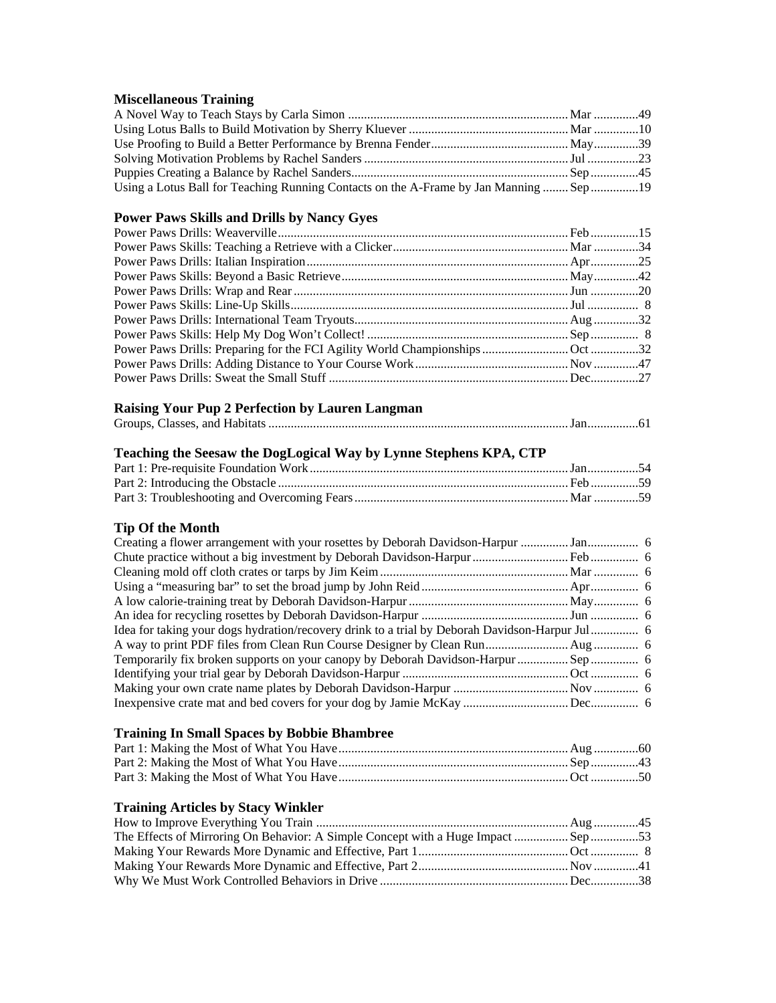#### **Miscellaneous Training**

| Using a Lotus Ball for Teaching Running Contacts on the A-Frame by Jan Manning  Sep 19 |  |
|----------------------------------------------------------------------------------------|--|

# **Power Paws Skills and Drills by Nancy Gyes**

# **Raising Your Pup 2 Perfection by Lauren Langman**

|--|--|--|--|--|--|

# **Teaching the Seesaw the DogLogical Way by Lynne Stephens KPA, CTP**

# **Tip Of the Month**

| Idea for taking your dogs hydration/recovery drink to a trial by Deborah Davidson-Harpur Jul 6 |  |
|------------------------------------------------------------------------------------------------|--|
|                                                                                                |  |
|                                                                                                |  |
|                                                                                                |  |
|                                                                                                |  |
|                                                                                                |  |

# **Training In Small Spaces by Bobbie Bhambree**

#### **Training Articles by Stacy Winkler**

| The Effects of Mirroring On Behavior: A Simple Concept with a Huge Impact  Sep 53 |  |
|-----------------------------------------------------------------------------------|--|
|                                                                                   |  |
|                                                                                   |  |
|                                                                                   |  |
|                                                                                   |  |